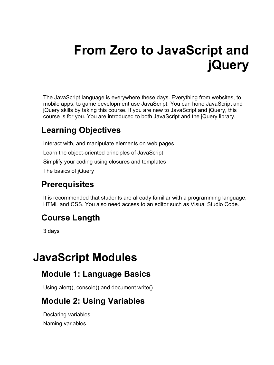# **From Zero to JavaScript and jQuery**

The JavaScript language is everywhere these days. Everything from websites, to mobile apps, to game development use JavaScript. You can hone JavaScript and jQuery skills by taking this course. If you are new to JavaScript and jQuery, this course is for you. You are introduced to both JavaScript and the jQuery library.

#### **Learning Objectives**

Interact with, and manipulate elements on web pages Learn the object-oriented principles of JavaScript Simplify your coding using closures and templates The basics of jQuery

## **Prerequisites**

It is recommended that students are already familiar with a programming language, HTML and CSS. You also need access to an editor such as Visual Studio Code.

## **Course Length**

3 days

## **JavaScript Modules**

## **Module 1: Language Basics**

Using alert(), console() and document.write()

## **Module 2: Using Variables**

Declaring variables Naming variables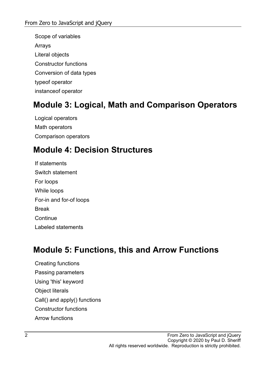Scope of variables Arrays Literal objects Constructor functions Conversion of data types typeof operator instanceof operator

#### **Module 3: Logical, Math and Comparison Operators**

Logical operators Math operators Comparison operators

## **Module 4: Decision Structures**

If statements Switch statement For loops While loops For-in and for-of loops Break **Continue** Labeled statements

#### **Module 5: Functions, this and Arrow Functions**

Creating functions Passing parameters Using 'this' keyword Object literals Call() and apply() functions Constructor functions Arrow functions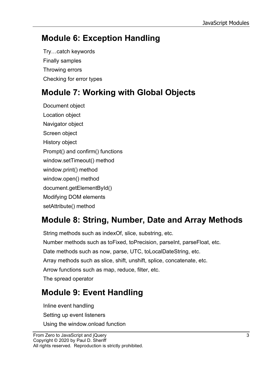## **Module 6: Exception Handling**

Try…catch keywords Finally samples Throwing errors Checking for error types

## **Module 7: Working with Global Objects**

Document object Location object Navigator object Screen object History object Prompt() and confirm() functions window.setTimeout() method window.print() method window.open() method document.getElementById() Modifying DOM elements setAttribute() method

## **Module 8: String, Number, Date and Array Methods**

String methods such as indexOf, slice, substring, etc. Number methods such as toFixed, toPrecision, parseInt, parseFloat, etc. Date methods such as now, parse, UTC, toLocalDateString, etc. Array methods such as slice, shift, unshift, splice, concatenate, etc. Arrow functions such as map, reduce, filter, etc. The spread operator

## **Module 9: Event Handling**

Inline event handling Setting up event listeners Using the window.onload function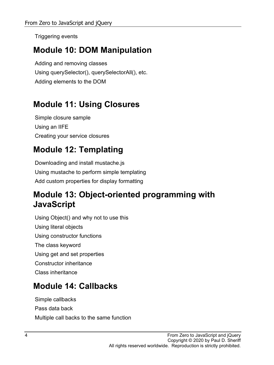Triggering events

#### **Module 10: DOM Manipulation**

Adding and removing classes Using querySelector(), querySelectorAll(), etc. Adding elements to the DOM

## **Module 11: Using Closures**

Simple closure sample Using an IIFE Creating your service closures

## **Module 12: Templating**

Downloading and install mustache.js Using mustache to perform simple templating Add custom properties for display formatting

#### **Module 13: Object-oriented programming with JavaScript**

Using Object() and why not to use this Using literal objects Using constructor functions The class keyword Using get and set properties Constructor inheritance Class inheritance

## **Module 14: Callbacks**

Simple callbacks Pass data back Multiple call backs to the same function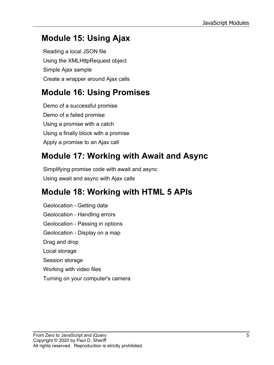## **Module 15: Using Ajax**

Reading a local JSON file Using the XMLHttpRequest object Simple Ajax sample Create a wrapper around Ajax calls

## **Module 16: Using Promises**

Demo of a successful promise Demo of a failed promise Using a promise with a catch Using a finally block with a promise Apply a promise to an Ajax call

## **Module 17: Working with Await and Async**

Simplifying promise code with await and async Using await and async with Ajax calls

## **Module 18: Working with HTML 5 APIs**

Geolocation - Getting data Geolocation - Handling errors Geolocation - Passing in options Geolocation - Display on a map Drag and drop Local storage Session storage Working with video files Turning on your computer's camera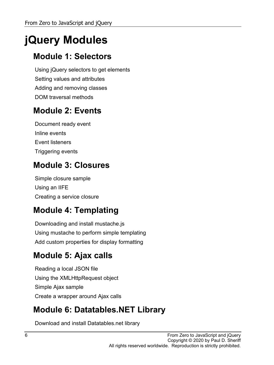## **jQuery Modules**

## **Module 1: Selectors**

Using jQuery selectors to get elements Setting values and attributes Adding and removing classes DOM traversal methods

## **Module 2: Events**

Document ready event Inline events Event listeners Triggering events

## **Module 3: Closures**

Simple closure sample Using an IIFE Creating a service closure

## **Module 4: Templating**

Downloading and install mustache.js Using mustache to perform simple templating Add custom properties for display formatting

## **Module 5: Ajax calls**

Reading a local JSON file Using the XMLHttpRequest object Simple Ajax sample Create a wrapper around Ajax calls

## **Module 6: Datatables.NET Library**

Download and install Datatables.net library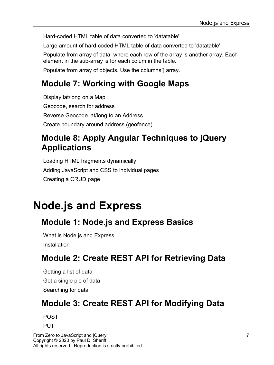Hard-coded HTML table of data converted to 'datatable'

Large amount of hard-coded HTML table of data converted to 'datatable'

Populate from array of data, where each row of the array is another array. Each element in the sub-array is for each colum in the table.

Populate from array of objects. Use the columns[] array.

## **Module 7: Working with Google Maps**

Display lat/long on a Map Geocode, search for address Reverse Geocode lat/long to an Address Create boundary around address (geofence)

#### **Module 8: Apply Angular Techniques to jQuery Applications**

Loading HTML fragments dynamically Adding JavaScript and CSS to individual pages Creating a CRUD page

## **Node.js and Express**

## **Module 1: Node.js and Express Basics**

What is Node.js and Express Installation

## **Module 2: Create REST API for Retrieving Data**

Getting a list of data Get a single pie of data Searching for data

## **Module 3: Create REST API for Modifying Data**

POST

PUT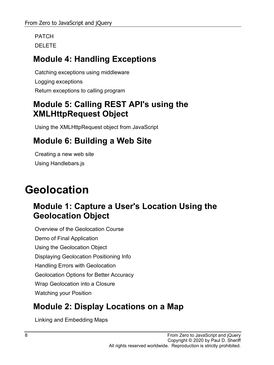PATCH DELETE

## **Module 4: Handling Exceptions**

Catching exceptions using middleware Logging exceptions Return exceptions to calling program

## **Module 5: Calling REST API's using the XMLHttpRequest Object**

Using the XMLHttpRequest object from JavaScript

## **Module 6: Building a Web Site**

Creating a new web site Using Handlebars.js

## **Geolocation**

#### **Module 1: Capture a User's Location Using the Geolocation Object**

Overview of the Geolocation Course Demo of Final Application Using the Geolocation Object Displaying Geolocation Positioning Info Handling Errors with Geolocation Geolocation Options for Better Accuracy Wrap Geolocation into a Closure Watching your Position

## **Module 2: Display Locations on a Map**

Linking and Embedding Maps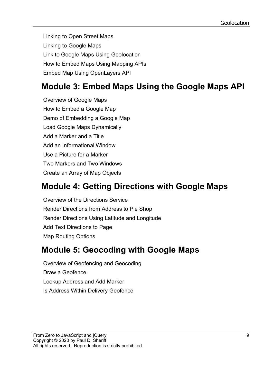Linking to Open Street Maps Linking to Google Maps Link to Google Maps Using Geolocation How to Embed Maps Using Mapping APIs Embed Map Using OpenLayers API

## **Module 3: Embed Maps Using the Google Maps API**

Overview of Google Maps How to Embed a Google Map Demo of Embedding a Google Map Load Google Maps Dynamically Add a Marker and a Title Add an Informational Window Use a Picture for a Marker Two Markers and Two Windows Create an Array of Map Objects

#### **Module 4: Getting Directions with Google Maps**

Overview of the Directions Service Render Directions from Address to Pie Shop Render Directions Using Latitude and Longitude Add Text Directions to Page Map Routing Options

#### **Module 5: Geocoding with Google Maps**

Overview of Geofencing and Geocoding Draw a Geofence Lookup Address and Add Marker Is Address Within Delivery Geofence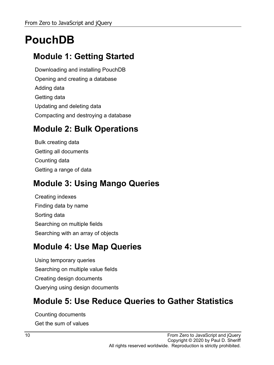## **PouchDB**

## **Module 1: Getting Started**

Downloading and installing PouchDB Opening and creating a database Adding data Getting data Updating and deleting data Compacting and destroying a database

#### **Module 2: Bulk Operations**

Bulk creating data Getting all documents Counting data Getting a range of data

## **Module 3: Using Mango Queries**

Creating indexes Finding data by name Sorting data Searching on multiple fields Searching with an array of objects

## **Module 4: Use Map Queries**

Using temporary queries Searching on multiple value fields Creating design documents Querying using design documents

#### **Module 5: Use Reduce Queries to Gather Statistics**

Counting documents Get the sum of values